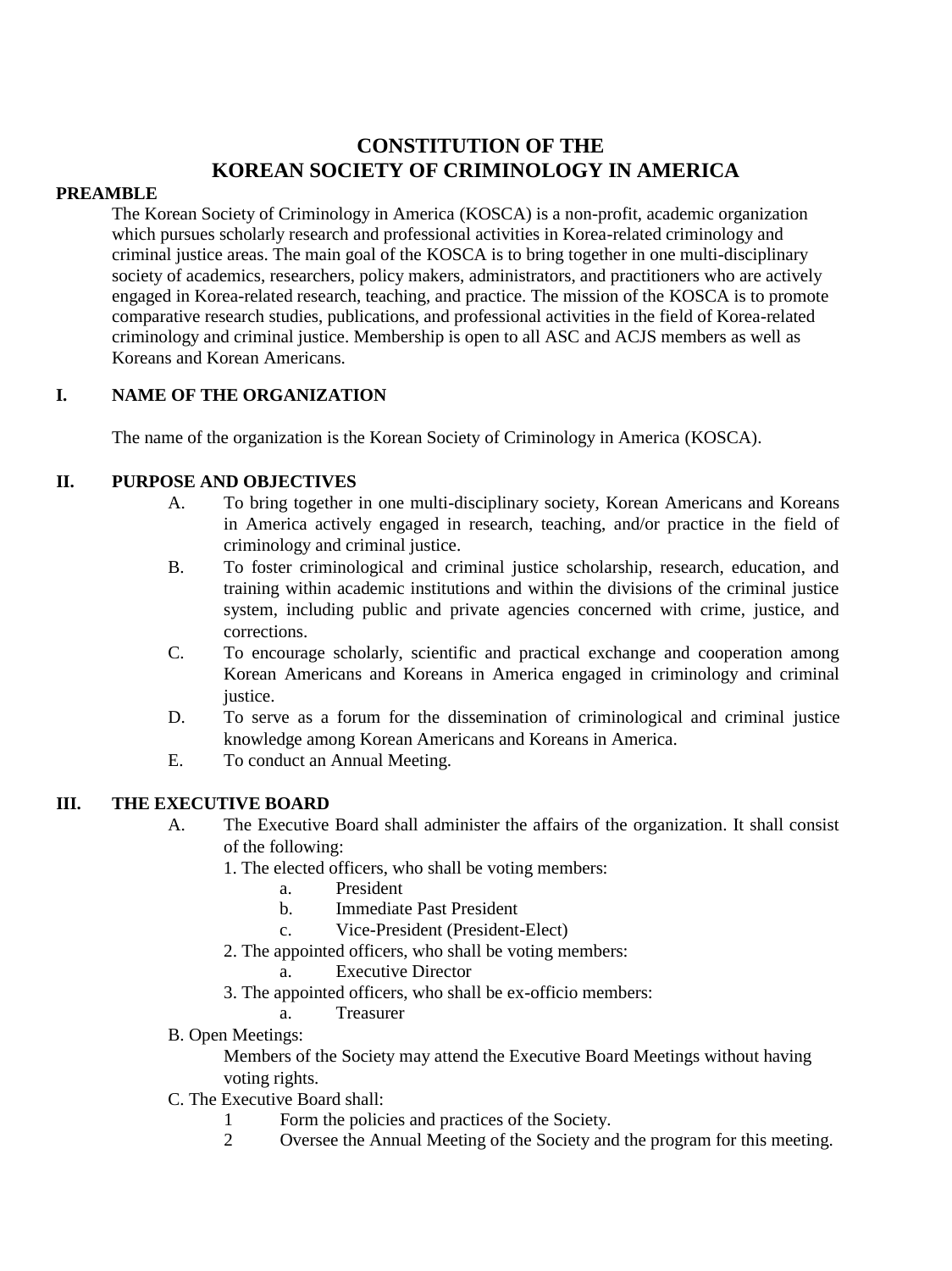# **CONSTITUTION OF THE KOREAN SOCIETY OF CRIMINOLOGY IN AMERICA**

#### **PREAMBLE**

The Korean Society of Criminology in America (KOSCA) is a non-profit, academic organization which pursues scholarly research and professional activities in Korea-related criminology and criminal justice areas. The main goal of the KOSCA is to bring together in one multi-disciplinary society of academics, researchers, policy makers, administrators, and practitioners who are actively engaged in Korea-related research, teaching, and practice. The mission of the KOSCA is to promote comparative research studies, publications, and professional activities in the field of Korea-related criminology and criminal justice. Membership is open to all ASC and ACJS members as well as Koreans and Korean Americans.

# **I. NAME OF THE ORGANIZATION**

The name of the organization is the Korean Society of Criminology in America (KOSCA).

## **II. PURPOSE AND OBJECTIVES**

- A. To bring together in one multi-disciplinary society, Korean Americans and Koreans in America actively engaged in research, teaching, and/or practice in the field of criminology and criminal justice.
- B. To foster criminological and criminal justice scholarship, research, education, and training within academic institutions and within the divisions of the criminal justice system, including public and private agencies concerned with crime, justice, and corrections.
- C. To encourage scholarly, scientific and practical exchange and cooperation among Korean Americans and Koreans in America engaged in criminology and criminal justice.
- D. To serve as a forum for the dissemination of criminological and criminal justice knowledge among Korean Americans and Koreans in America.
- E. To conduct an Annual Meeting.

## **III. THE EXECUTIVE BOARD**

- A. The Executive Board shall administer the affairs of the organization. It shall consist of the following:
	- 1. The elected officers, who shall be voting members:
		- a. President
		- b. Immediate Past President
		- c. Vice-President (President-Elect)
	- 2. The appointed officers, who shall be voting members:
		- **Executive Director**
	- 3. The appointed officers, who shall be ex-officio members:
		- a. Treasurer
- B. Open Meetings:

Members of the Society may attend the Executive Board Meetings without having voting rights.

- C. The Executive Board shall:
	- 1 Form the policies and practices of the Society.
	- 2 Oversee the Annual Meeting of the Society and the program for this meeting.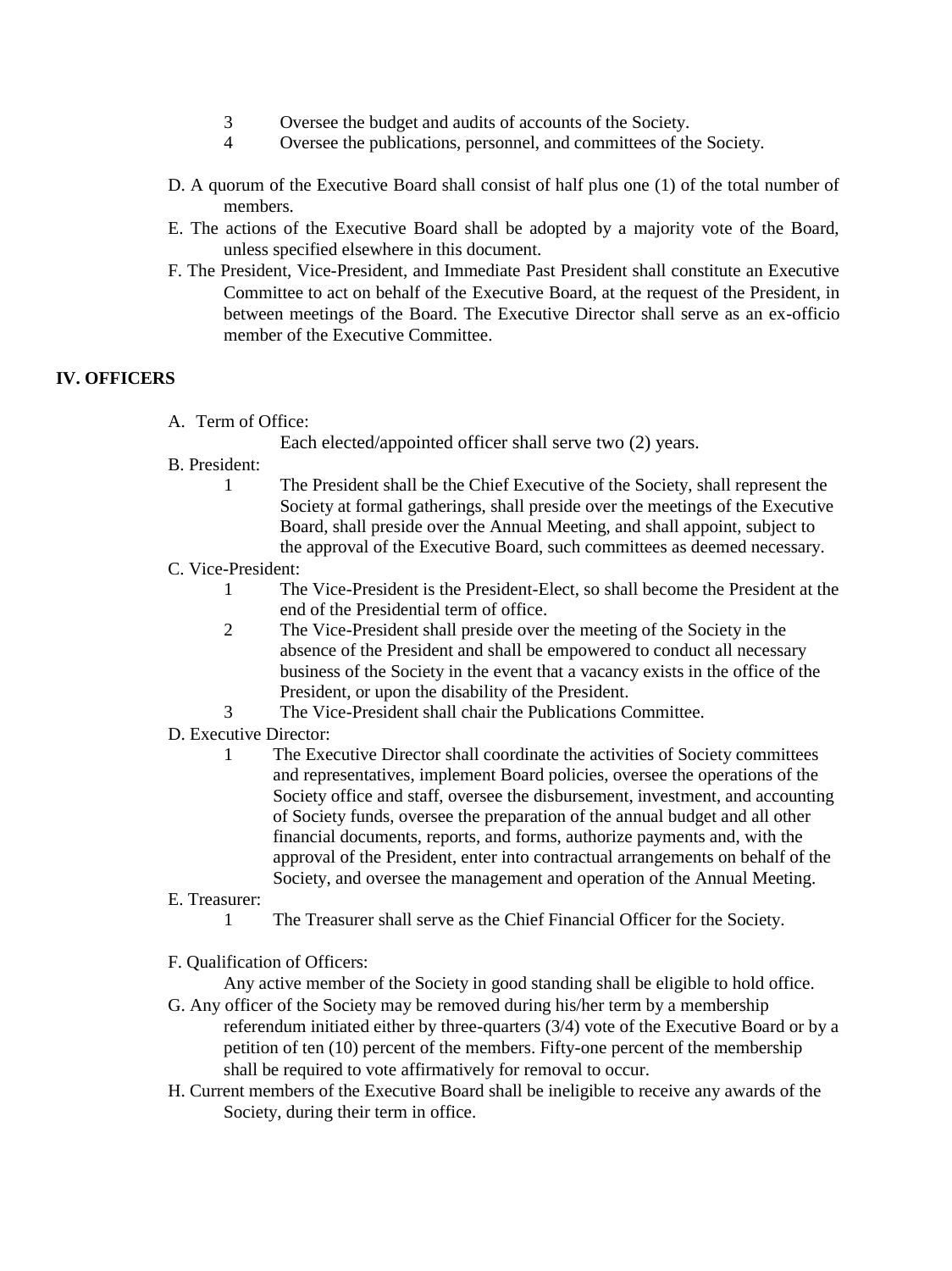- 3 Oversee the budget and audits of accounts of the Society.
- 4 Oversee the publications, personnel, and committees of the Society.
- D. A quorum of the Executive Board shall consist of half plus one (1) of the total number of members.
- E. The actions of the Executive Board shall be adopted by a majority vote of the Board, unless specified elsewhere in this document.
- F. The President, Vice-President, and Immediate Past President shall constitute an Executive Committee to act on behalf of the Executive Board, at the request of the President, in between meetings of the Board. The Executive Director shall serve as an ex-officio member of the Executive Committee.

# **IV. OFFICERS**

A. Term of Office:

Each elected/appointed officer shall serve two (2) years.

- B. President:
	- 1 The President shall be the Chief Executive of the Society, shall represent the Society at formal gatherings, shall preside over the meetings of the Executive Board, shall preside over the Annual Meeting, and shall appoint, subject to the approval of the Executive Board, such committees as deemed necessary.
- C. Vice-President:
	- 1 The Vice-President is the President-Elect, so shall become the President at the end of the Presidential term of office.
	- 2 The Vice-President shall preside over the meeting of the Society in the absence of the President and shall be empowered to conduct all necessary business of the Society in the event that a vacancy exists in the office of the President, or upon the disability of the President.
	- 3 The Vice-President shall chair the Publications Committee.
- D. Executive Director:
	- 1 The Executive Director shall coordinate the activities of Society committees and representatives, implement Board policies, oversee the operations of the Society office and staff, oversee the disbursement, investment, and accounting of Society funds, oversee the preparation of the annual budget and all other financial documents, reports, and forms, authorize payments and, with the approval of the President, enter into contractual arrangements on behalf of the Society, and oversee the management and operation of the Annual Meeting.
- E. Treasurer:
	- 1 The Treasurer shall serve as the Chief Financial Officer for the Society.
- F. Qualification of Officers:

Any active member of the Society in good standing shall be eligible to hold office.

- G. Any officer of the Society may be removed during his/her term by a membership referendum initiated either by three-quarters (3/4) vote of the Executive Board or by a petition of ten (10) percent of the members. Fifty-one percent of the membership shall be required to vote affirmatively for removal to occur.
- H. Current members of the Executive Board shall be ineligible to receive any awards of the Society, during their term in office.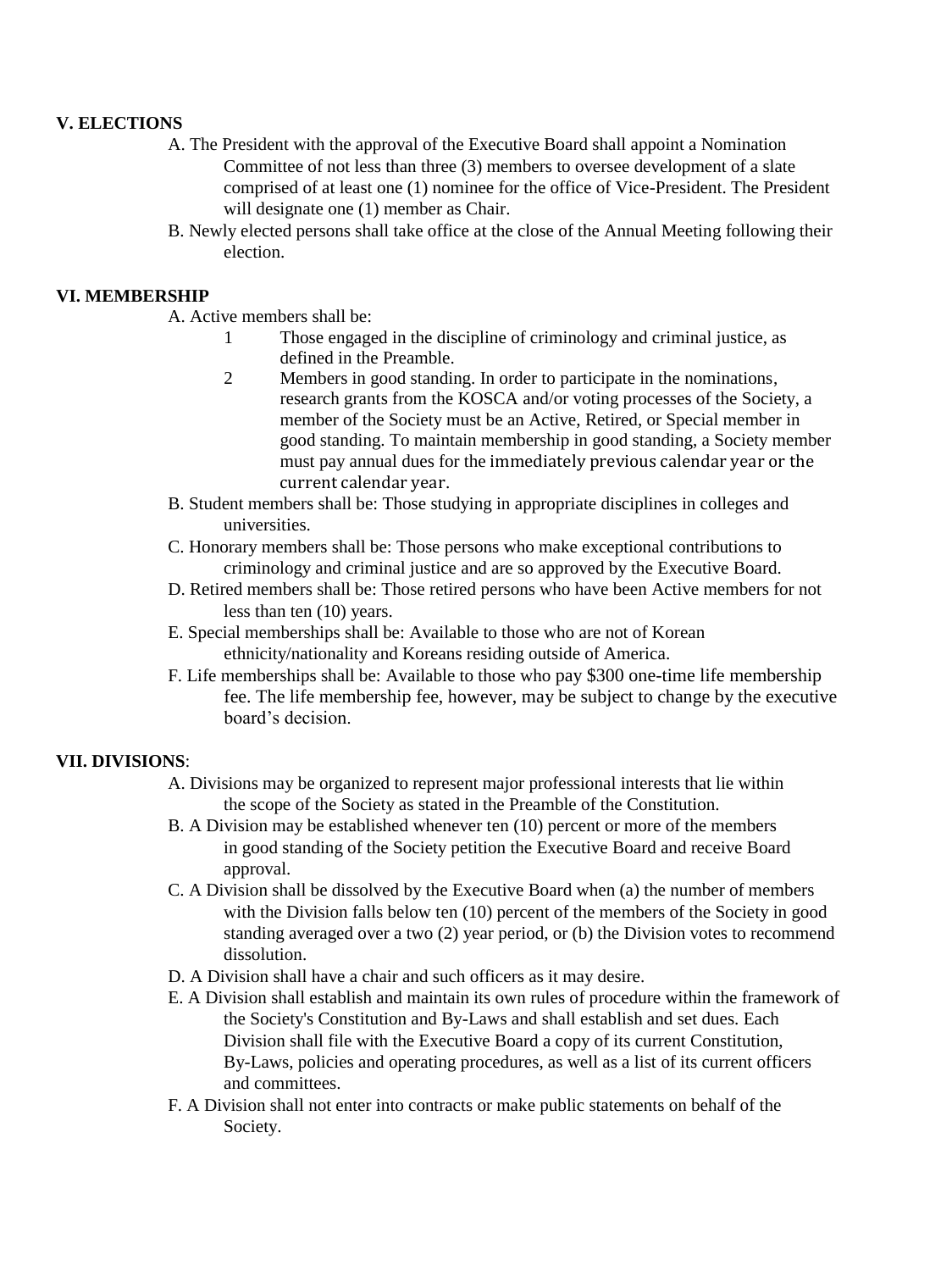### **V. ELECTIONS**

- A. The President with the approval of the Executive Board shall appoint a Nomination Committee of not less than three (3) members to oversee development of a slate comprised of at least one (1) nominee for the office of Vice-President. The President will designate one  $(1)$  member as Chair.
- B. Newly elected persons shall take office at the close of the Annual Meeting following their election.

#### **VI. MEMBERSHIP**

- A. Active members shall be:
	- 1 Those engaged in the discipline of criminology and criminal justice, as defined in the Preamble.
	- 2 Members in good standing. In order to participate in the nominations, research grants from the KOSCA and/or voting processes of the Society, a member of the Society must be an Active, Retired, or Special member in good standing. To maintain membership in good standing, a Society member must pay annual dues for the immediately previous calendar year or the current calendar year.
- B. Student members shall be: Those studying in appropriate disciplines in colleges and universities.
- C. Honorary members shall be: Those persons who make exceptional contributions to criminology and criminal justice and are so approved by the Executive Board.
- D. Retired members shall be: Those retired persons who have been Active members for not less than ten (10) years.
- E. Special memberships shall be: Available to those who are not of Korean ethnicity/nationality and Koreans residing outside of America.
- F. Life memberships shall be: Available to those who pay \$300 one-time life membership fee. The life membership fee, however, may be subject to change by the executive board's decision.

#### **VII. DIVISIONS**:

- A. Divisions may be organized to represent major professional interests that lie within the scope of the Society as stated in the Preamble of the Constitution.
- B. A Division may be established whenever ten (10) percent or more of the members in good standing of the Society petition the Executive Board and receive Board approval.
- C. A Division shall be dissolved by the Executive Board when (a) the number of members with the Division falls below ten (10) percent of the members of the Society in good standing averaged over a two (2) year period, or (b) the Division votes to recommend dissolution.
- D. A Division shall have a chair and such officers as it may desire.
- E. A Division shall establish and maintain its own rules of procedure within the framework of the Society's Constitution and By-Laws and shall establish and set dues. Each Division shall file with the Executive Board a copy of its current Constitution, By-Laws, policies and operating procedures, as well as a list of its current officers and committees.
- F. A Division shall not enter into contracts or make public statements on behalf of the Society.